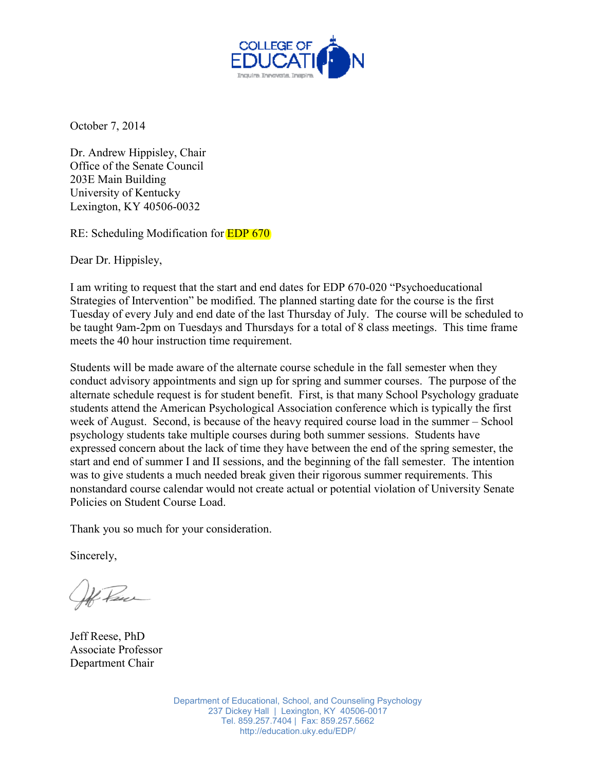

October 7, 2014

Dr. Andrew Hippisley, Chair Office of the Senate Council 203E Main Building University of Kentucky Lexington, KY 40506-0032

RE: Scheduling Modification for EDP 670

Dear Dr. Hippisley,

I am writing to request that the start and end dates for EDP 670-020 "Psychoeducational Strategies of Intervention" be modified. The planned starting date for the course is the first Tuesday of every July and end date of the last Thursday of July. The course will be scheduled to be taught 9am-2pm on Tuesdays and Thursdays for a total of 8 class meetings. This time frame meets the 40 hour instruction time requirement.

Students will be made aware of the alternate course schedule in the fall semester when they conduct advisory appointments and sign up for spring and summer courses. The purpose of the alternate schedule request is for student benefit. First, is that many School Psychology graduate students attend the American Psychological Association conference which is typically the first week of August. Second, is because of the heavy required course load in the summer – School psychology students take multiple courses during both summer sessions. Students have expressed concern about the lack of time they have between the end of the spring semester, the start and end of summer I and II sessions, and the beginning of the fall semester. The intention was to give students a much needed break given their rigorous summer requirements. This nonstandard course calendar would not create actual or potential violation of University Senate Policies on Student Course Load.

Thank you so much for your consideration.

Sincerely,

4 Paul

Jeff Reese, PhD Associate Professor Department Chair

Department of Educational, School, and Counseling Psychology 237 Dickey Hall | Lexington, KY 40506-0017 Tel. 859.257.7404 | Fax: 859.257.5662 http://education.uky.edu/EDP/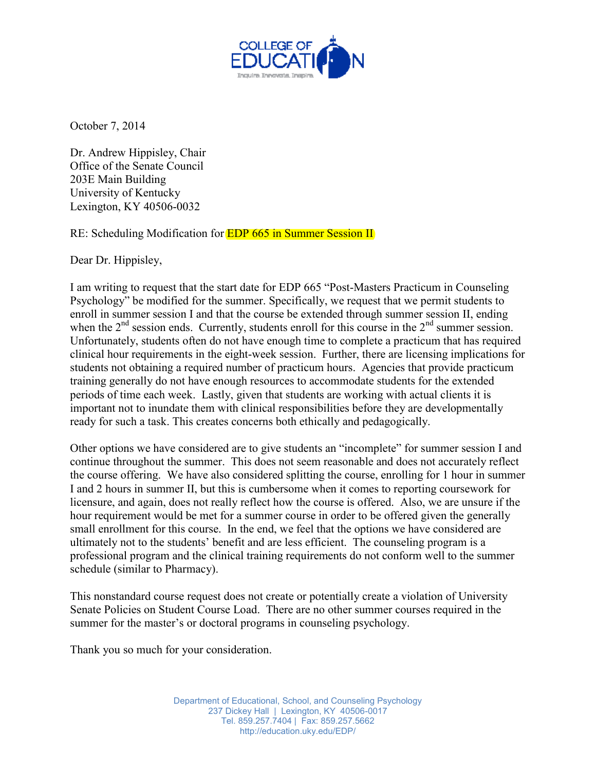

October 7, 2014

Dr. Andrew Hippisley, Chair Office of the Senate Council 203E Main Building University of Kentucky Lexington, KY 40506-0032

RE: Scheduling Modification for **EDP 665 in Summer Session II** 

Dear Dr. Hippisley,

I am writing to request that the start date for EDP 665 "Post-Masters Practicum in Counseling Psychology" be modified for the summer. Specifically, we request that we permit students to enroll in summer session I and that the course be extended through summer session II, ending when the  $2<sup>nd</sup>$  session ends. Currently, students enroll for this course in the  $2<sup>nd</sup>$  summer session. Unfortunately, students often do not have enough time to complete a practicum that has required clinical hour requirements in the eight-week session. Further, there are licensing implications for students not obtaining a required number of practicum hours. Agencies that provide practicum training generally do not have enough resources to accommodate students for the extended periods of time each week. Lastly, given that students are working with actual clients it is important not to inundate them with clinical responsibilities before they are developmentally ready for such a task. This creates concerns both ethically and pedagogically.

Other options we have considered are to give students an "incomplete" for summer session I and continue throughout the summer. This does not seem reasonable and does not accurately reflect the course offering. We have also considered splitting the course, enrolling for 1 hour in summer I and 2 hours in summer II, but this is cumbersome when it comes to reporting coursework for licensure, and again, does not really reflect how the course is offered. Also, we are unsure if the hour requirement would be met for a summer course in order to be offered given the generally small enrollment for this course. In the end, we feel that the options we have considered are ultimately not to the students' benefit and are less efficient. The counseling program is a professional program and the clinical training requirements do not conform well to the summer schedule (similar to Pharmacy).

This nonstandard course request does not create or potentially create a violation of University Senate Policies on Student Course Load. There are no other summer courses required in the summer for the master's or doctoral programs in counseling psychology.

Thank you so much for your consideration.